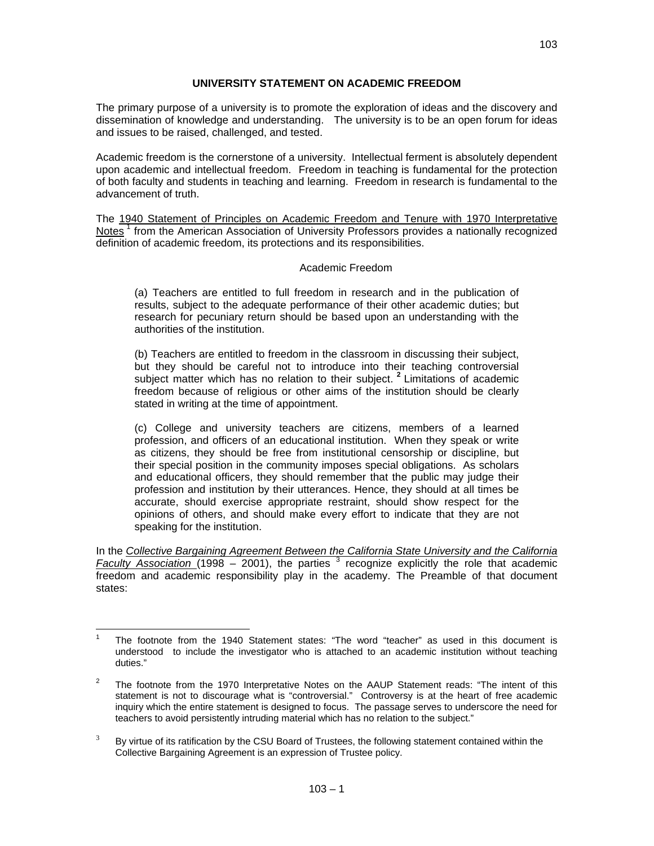## **UNIVERSITY STATEMENT ON ACADEMIC FREEDOM**

The primary purpose of a university is to promote the exploration of ideas and the discovery and dissemination of knowledge and understanding. The university is to be an open forum for ideas and issues to be raised, challenged, and tested.

Academic freedom is the cornerstone of a university. Intellectual ferment is absolutely dependent upon academic and intellectual freedom. Freedom in teaching is fundamental for the protection of both faculty and students in teaching and learning. Freedom in research is fundamental to the advancement of truth.

The 1940 Statement of Principles on Academic Freedom and Tenure with 1970 Interpretative Notes<sup>1</sup> from the American Association of University Professors provides a nationally recognized definition of academic freedom, its protections and its responsibilities.

## Academic Freedom

(a) Teachers are entitled to full freedom in research and in the publication of results, subject to the adequate performance of their other academic duties; but research for pecuniary return should be based upon an understanding with the authorities of the institution.

(b) Teachers are entitled to freedom in the classroom in discussing their subject, but they should be careful not to introduce into their teaching controversial subject matter which has no relation to their subject.<sup>2</sup> Limitations of academic freedom because of religious or other aims of the institution should be clearly stated in writing at the time of appointment.

(c) College and university teachers are citizens, members of a learned profession, and officers of an educational institution. When they speak or write as citizens, they should be free from institutional censorship or discipline, but their special position in the community imposes special obligations. As scholars and educational officers, they should remember that the public may judge their profession and institution by their utterances. Hence, they should at all times be accurate, should exercise appropriate restraint, should show respect for the opinions of others, and should make every effort to indicate that they are not speaking for the institution.

In the *Collective Bargaining Agreement Between the California State University and the California*  Faculty Association (1998 – 2001), the parties <sup>3</sup> recognize explicitly the role that academic freedom and academic responsibility play in the academy. The Preamble of that document states:

 $\overline{a}$ 1 The footnote from the 1940 Statement states: "The word "teacher" as used in this document is understood to include the investigator who is attached to an academic institution without teaching duties."

 $\overline{2}$  The footnote from the 1970 Interpretative Notes on the AAUP Statement reads: "The intent of this statement is not to discourage what is "controversial." Controversy is at the heart of free academic inquiry which the entire statement is designed to focus. The passage serves to underscore the need for teachers to avoid persistently intruding material which has no relation to the subject."

<sup>3</sup> By virtue of its ratification by the CSU Board of Trustees, the following statement contained within the Collective Bargaining Agreement is an expression of Trustee policy.